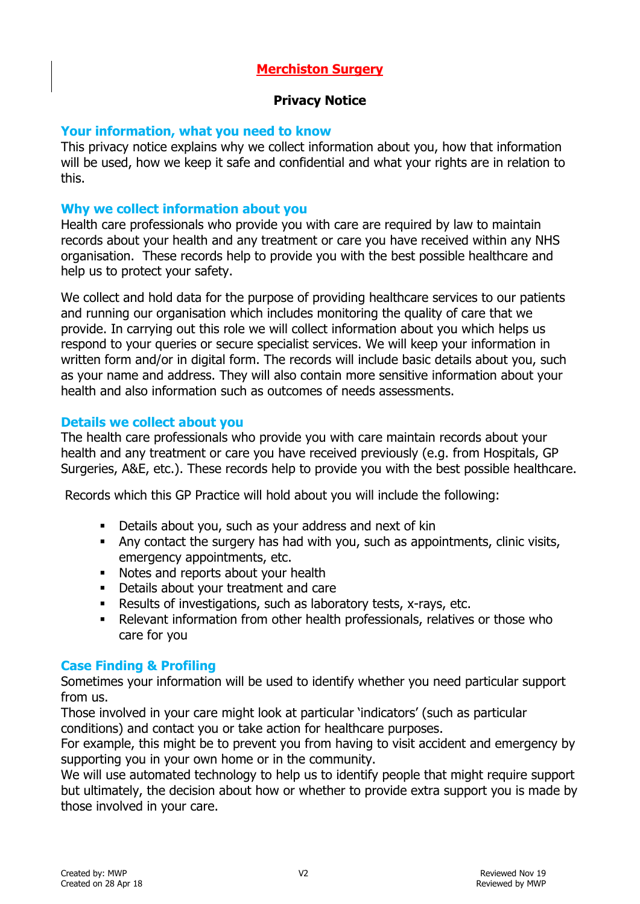# **Merchiston Surgery**

### **Privacy Notice**

### **Your information, what you need to know**

This privacy notice explains why we collect information about you, how that information will be used, how we keep it safe and confidential and what your rights are in relation to this.

### **Why we collect information about you**

Health care professionals who provide you with care are required by law to maintain records about your health and any treatment or care you have received within any NHS organisation. These records help to provide you with the best possible healthcare and help us to protect your safety.

We collect and hold data for the purpose of providing healthcare services to our patients and running our organisation which includes monitoring the quality of care that we provide. In carrying out this role we will collect information about you which helps us respond to your queries or secure specialist services. We will keep your information in written form and/or in digital form. The records will include basic details about you, such as your name and address. They will also contain more sensitive information about your health and also information such as outcomes of needs assessments.

### **Details we collect about you**

The health care professionals who provide you with care maintain records about your health and any treatment or care you have received previously (e.g. from Hospitals, GP Surgeries, A&E, etc.). These records help to provide you with the best possible healthcare.

Records which this GP Practice will hold about you will include the following:

- Details about you, such as your address and next of kin
- Any contact the surgery has had with you, such as appointments, clinic visits, emergency appointments, etc.
- Kotes and reports about your health
- Details about your treatment and care
- Results of investigations, such as laboratory tests, x-rays, etc.
- Relevant information from other health professionals, relatives or those who care for you

### **Case Finding & Profiling**

Sometimes your information will be used to identify whether you need particular support from us.

Those involved in your care might look at particular 'indicators' (such as particular conditions) and contact you or take action for healthcare purposes.

For example, this might be to prevent you from having to visit accident and emergency by supporting you in your own home or in the community.

We will use automated technology to help us to identify people that might require support but ultimately, the decision about how or whether to provide extra support you is made by those involved in your care.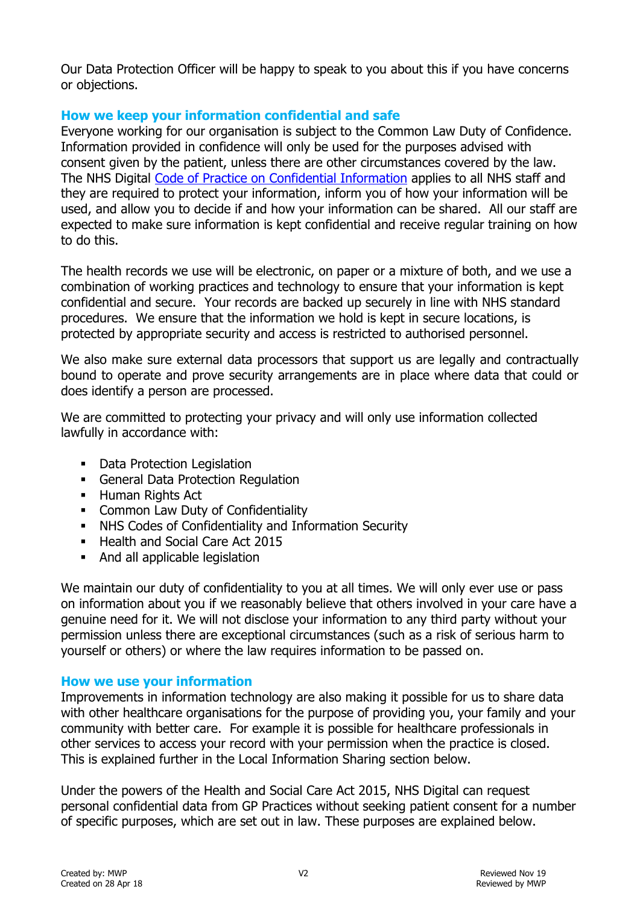Our Data Protection Officer will be happy to speak to you about this if you have concerns or objections.

# **How we keep your information confidential and safe**

Everyone working for our organisation is subject to the Common Law Duty of Confidence. Information provided in confidence will only be used for the purposes advised with consent given by the patient, unless there are other circumstances covered by the law. The NHS Digital [Code of Practice on Confidential Information](http://systems.digital.nhs.uk/infogov/codes/cop/code.pdf) applies to all NHS staff and they are required to protect your information, inform you of how your information will be used, and allow you to decide if and how your information can be shared. All our staff are expected to make sure information is kept confidential and receive regular training on how to do this.

The health records we use will be electronic, on paper or a mixture of both, and we use a combination of working practices and technology to ensure that your information is kept confidential and secure. Your records are backed up securely in line with NHS standard procedures. We ensure that the information we hold is kept in secure locations, is protected by appropriate security and access is restricted to authorised personnel.

We also make sure external data processors that support us are legally and contractually bound to operate and prove security arrangements are in place where data that could or does identify a person are processed.

We are committed to protecting your privacy and will only use information collected lawfully in accordance with:

- Data Protection Legislation
- General Data Protection Regulation
- **Human Rights Act**
- **EXECOMMON Law Duty of Confidentiality**
- NHS Codes of Confidentiality and Information Security
- Health and Social Care Act 2015
- And all applicable legislation

We maintain our duty of confidentiality to you at all times. We will only ever use or pass on information about you if we reasonably believe that others involved in your care have a genuine need for it. We will not disclose your information to any third party without your permission unless there are exceptional circumstances (such as a risk of serious harm to yourself or others) or where the law requires information to be passed on.

# **How we use your information**

Improvements in information technology are also making it possible for us to share data with other healthcare organisations for the purpose of providing you, your family and your community with better care. For example it is possible for healthcare professionals in other services to access your record with your permission when the practice is closed. This is explained further in the Local Information Sharing section below.

Under the powers of the Health and Social Care Act 2015, NHS Digital can request personal confidential data from GP Practices without seeking patient consent for a number of specific purposes, which are set out in law. These purposes are explained below.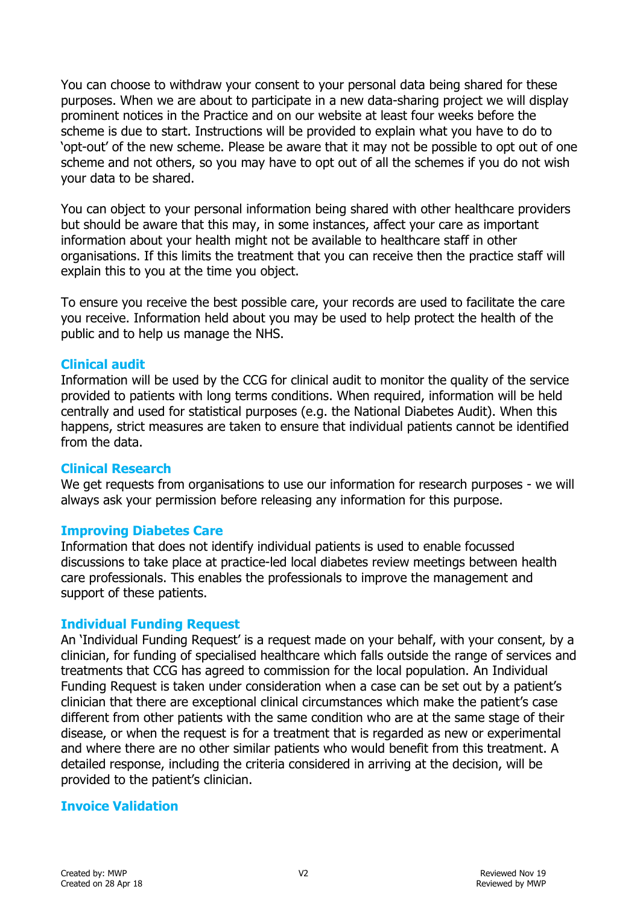You can choose to withdraw your consent to your personal data being shared for these purposes. When we are about to participate in a new data-sharing project we will display prominent notices in the Practice and on our website at least four weeks before the scheme is due to start. Instructions will be provided to explain what you have to do to 'opt-out' of the new scheme. Please be aware that it may not be possible to opt out of one scheme and not others, so you may have to opt out of all the schemes if you do not wish your data to be shared.

You can object to your personal information being shared with other healthcare providers but should be aware that this may, in some instances, affect your care as important information about your health might not be available to healthcare staff in other organisations. If this limits the treatment that you can receive then the practice staff will explain this to you at the time you object.

To ensure you receive the best possible care, your records are used to facilitate the care you receive. Information held about you may be used to help protect the health of the public and to help us manage the NHS.

### **Clinical audit**

Information will be used by the CCG for clinical audit to monitor the quality of the service provided to patients with long terms conditions. When required, information will be held centrally and used for statistical purposes (e.g. the National Diabetes Audit). When this happens, strict measures are taken to ensure that individual patients cannot be identified from the data.

#### **Clinical Research**

We get requests from organisations to use our information for research purposes - we will always ask your permission before releasing any information for this purpose.

### **Improving Diabetes Care**

Information that does not identify individual patients is used to enable focussed discussions to take place at practice-led local diabetes review meetings between health care professionals. This enables the professionals to improve the management and support of these patients.

### **Individual Funding Request**

An 'Individual Funding Request' is a request made on your behalf, with your consent, by a clinician, for funding of specialised healthcare which falls outside the range of services and treatments that CCG has agreed to commission for the local population. An Individual Funding Request is taken under consideration when a case can be set out by a patient's clinician that there are exceptional clinical circumstances which make the patient's case different from other patients with the same condition who are at the same stage of their disease, or when the request is for a treatment that is regarded as new or experimental and where there are no other similar patients who would benefit from this treatment. A detailed response, including the criteria considered in arriving at the decision, will be provided to the patient's clinician.

### **Invoice Validation**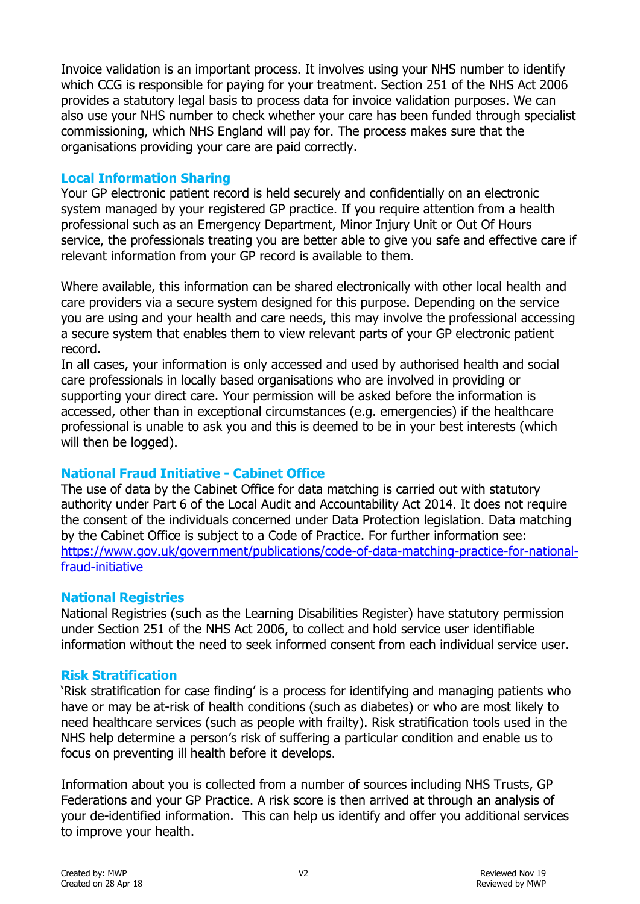Invoice validation is an important process. It involves using your NHS number to identify which CCG is responsible for paying for your treatment. Section 251 of the NHS Act 2006 provides a statutory legal basis to process data for invoice validation purposes. We can also use your NHS number to check whether your care has been funded through specialist commissioning, which NHS England will pay for. The process makes sure that the organisations providing your care are paid correctly.

### **Local Information Sharing**

Your GP electronic patient record is held securely and confidentially on an electronic system managed by your registered GP practice. If you require attention from a health professional such as an Emergency Department, Minor Injury Unit or Out Of Hours service, the professionals treating you are better able to give you safe and effective care if relevant information from your GP record is available to them.

Where available, this information can be shared electronically with other local health and care providers via a secure system designed for this purpose. Depending on the service you are using and your health and care needs, this may involve the professional accessing a secure system that enables them to view relevant parts of your GP electronic patient record.

In all cases, your information is only accessed and used by authorised health and social care professionals in locally based organisations who are involved in providing or supporting your direct care. Your permission will be asked before the information is accessed, other than in exceptional circumstances (e.g. emergencies) if the healthcare professional is unable to ask you and this is deemed to be in your best interests (which will then be logged).

# **National Fraud Initiative - Cabinet Office**

The use of data by the Cabinet Office for data matching is carried out with statutory authority under Part 6 of the Local Audit and Accountability Act 2014. It does not require the consent of the individuals concerned under Data Protection legislation. Data matching by the Cabinet Office is subject to a Code of Practice. For further information see: [https://www.gov.uk/government/publications/code-of-data-matching-practice-for-national](https://www.gov.uk/government/publications/code-of-data-matching-practice-for-national-fraud-initiative)[fraud-initiative](https://www.gov.uk/government/publications/code-of-data-matching-practice-for-national-fraud-initiative)

# **National Registries**

National Registries (such as the Learning Disabilities Register) have statutory permission under Section 251 of the NHS Act 2006, to collect and hold service user identifiable information without the need to seek informed consent from each individual service user.

# **Risk Stratification**

'Risk stratification for case finding' is a process for identifying and managing patients who have or may be at-risk of health conditions (such as diabetes) or who are most likely to need healthcare services (such as people with frailty). Risk stratification tools used in the NHS help determine a person's risk of suffering a particular condition and enable us to focus on preventing ill health before it develops.

Information about you is collected from a number of sources including NHS Trusts, GP Federations and your GP Practice. A risk score is then arrived at through an analysis of your de-identified information. This can help us identify and offer you additional services to improve your health.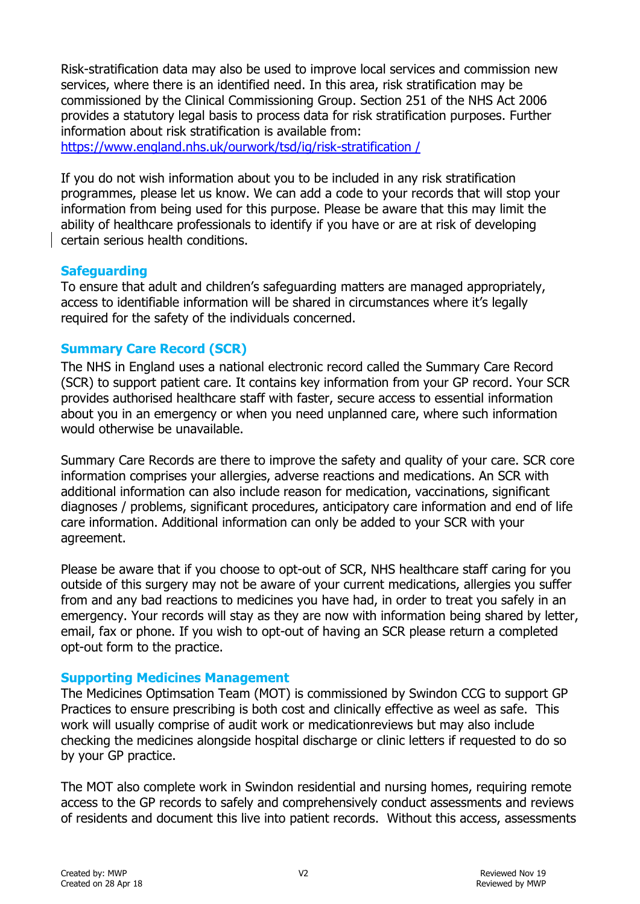Risk-stratification data may also be used to improve local services and commission new services, where there is an identified need. In this area, risk stratification may be commissioned by the Clinical Commissioning Group. Section 251 of the NHS Act 2006 provides a statutory legal basis to process data for risk stratification purposes. Further information about risk stratification is available from:

[https://www.england.nhs.uk/ourwork/tsd/ig/risk-stratification /](https://www.england.nhs.uk/ourwork/tsd/ig/risk-stratification%20/)

If you do not wish information about you to be included in any risk stratification programmes, please let us know. We can add a code to your records that will stop your information from being used for this purpose. Please be aware that this may limit the ability of healthcare professionals to identify if you have or are at risk of developing certain serious health conditions.

# **Safeguarding**

To ensure that adult and children's safeguarding matters are managed appropriately, access to identifiable information will be shared in circumstances where it's legally required for the safety of the individuals concerned.

# **Summary Care Record (SCR)**

The NHS in England uses a national electronic record called the Summary Care Record (SCR) to support patient care. It contains key information from your GP record. Your SCR provides authorised healthcare staff with faster, secure access to essential information about you in an emergency or when you need unplanned care, where such information would otherwise be unavailable.

Summary Care Records are there to improve the safety and quality of your care. SCR core information comprises your allergies, adverse reactions and medications. An SCR with additional information can also include reason for medication, vaccinations, significant diagnoses / problems, significant procedures, anticipatory care information and end of life care information. Additional information can only be added to your SCR with your agreement.

Please be aware that if you choose to opt-out of SCR, NHS healthcare staff caring for you outside of this surgery may not be aware of your current medications, allergies you suffer from and any bad reactions to medicines you have had, in order to treat you safely in an emergency. Your records will stay as they are now with information being shared by letter, email, fax or phone. If you wish to opt-out of having an SCR please return a completed opt-out form to the practice.

# **Supporting Medicines Management**

The Medicines Optimsation Team (MOT) is commissioned by Swindon CCG to support GP Practices to ensure prescribing is both cost and clinically effective as weel as safe. This work will usually comprise of audit work or medicationreviews but may also include checking the medicines alongside hospital discharge or clinic letters if requested to do so by your GP practice.

The MOT also complete work in Swindon residential and nursing homes, requiring remote access to the GP records to safely and comprehensively conduct assessments and reviews of residents and document this live into patient records. Without this access, assessments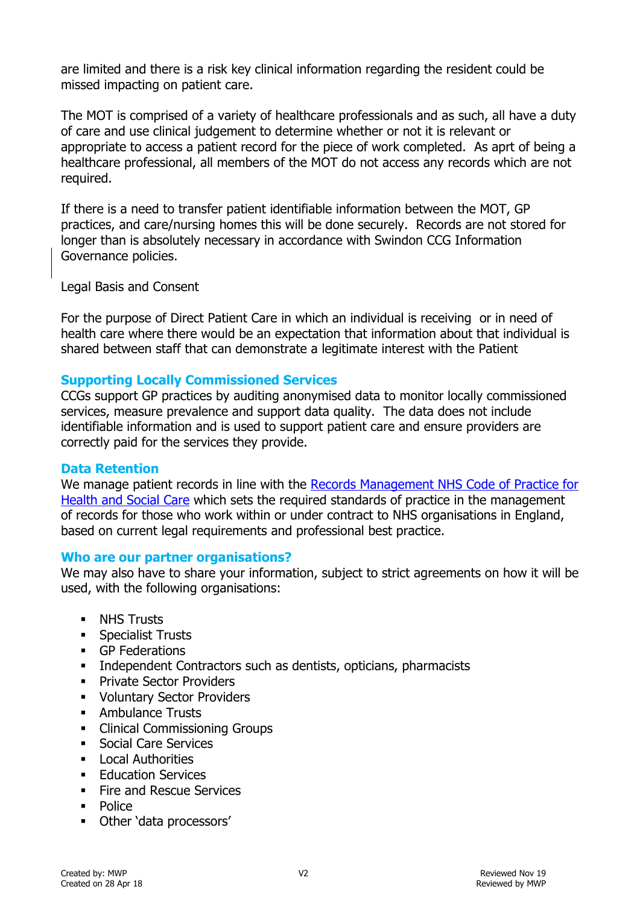are limited and there is a risk key clinical information regarding the resident could be missed impacting on patient care.

The MOT is comprised of a variety of healthcare professionals and as such, all have a duty of care and use clinical judgement to determine whether or not it is relevant or appropriate to access a patient record for the piece of work completed. As aprt of being a healthcare professional, all members of the MOT do not access any records which are not required.

If there is a need to transfer patient identifiable information between the MOT, GP practices, and care/nursing homes this will be done securely. Records are not stored for longer than is absolutely necessary in accordance with Swindon CCG Information Governance policies.

Legal Basis and Consent

For the purpose of Direct Patient Care in which an individual is receiving or in need of health care where there would be an expectation that information about that individual is shared between staff that can demonstrate a legitimate interest with the Patient

### **Supporting Locally Commissioned Services**

CCGs support GP practices by auditing anonymised data to monitor locally commissioned services, measure prevalence and support data quality. The data does not include identifiable information and is used to support patient care and ensure providers are correctly paid for the services they provide.

### **Data Retention**

We manage patient records in line with the [Records Management NHS Code of](http://webarchive.nationalarchives.gov.uk/20160729133355/http:/systems.hscic.gov.uk/infogov/iga/rmcop16718.pdf) Practice for [Health and Social Care](http://webarchive.nationalarchives.gov.uk/20160729133355/http:/systems.hscic.gov.uk/infogov/iga/rmcop16718.pdf) which sets the required standards of practice in the management of records for those who work within or under contract to NHS organisations in England, based on current legal requirements and professional best practice.

### **Who are our partner organisations?**

We may also have to share your information, subject to strict agreements on how it will be used, with the following organisations:

- **NHS Trusts**
- **Specialist Trusts**
- GP Federations
- **Independent Contractors such as dentists, opticians, pharmacists**
- **Private Sector Providers**
- **Voluntary Sector Providers**
- **Ambulance Trusts**
- Clinical Commissioning Groups
- **Social Care Services**
- $\blacksquare$  Local Authorities
- **Education Services**
- **Fire and Rescue Services**
- **Police**
- Other 'data processors'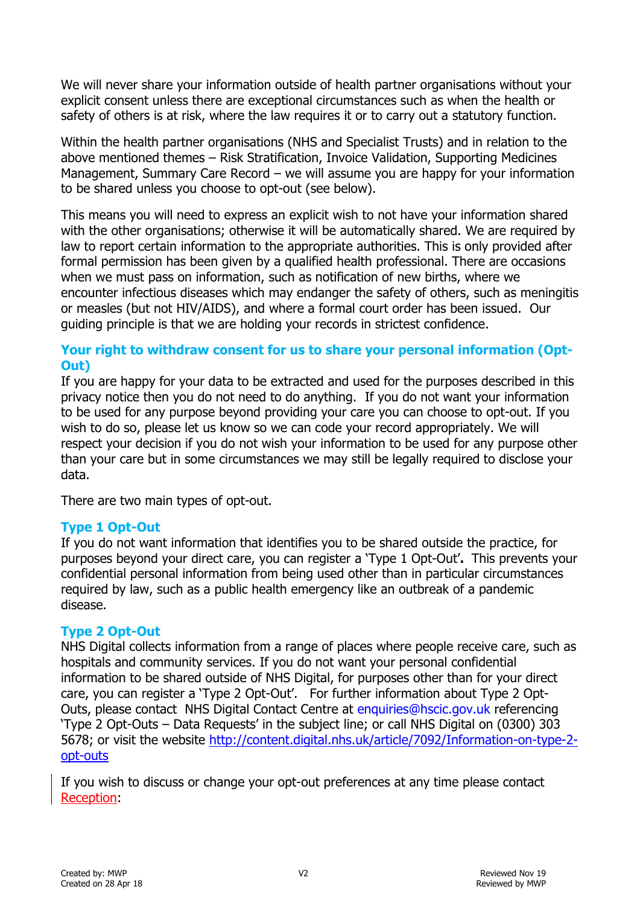We will never share your information outside of health partner organisations without your explicit consent unless there are exceptional circumstances such as when the health or safety of others is at risk, where the law requires it or to carry out a statutory function.

Within the health partner organisations (NHS and Specialist Trusts) and in relation to the above mentioned themes – Risk Stratification, Invoice Validation, Supporting Medicines Management, Summary Care Record – we will assume you are happy for your information to be shared unless you choose to opt-out (see below).

This means you will need to express an explicit wish to not have your information shared with the other organisations; otherwise it will be automatically shared. We are required by law to report certain information to the appropriate authorities. This is only provided after formal permission has been given by a qualified health professional. There are occasions when we must pass on information, such as notification of new births, where we encounter infectious diseases which may endanger the safety of others, such as meningitis or measles (but not HIV/AIDS), and where a formal court order has been issued. Our guiding principle is that we are holding your records in strictest confidence.

# **Your right to withdraw consent for us to share your personal information (Opt-Out)**

If you are happy for your data to be extracted and used for the purposes described in this privacy notice then you do not need to do anything. If you do not want your information to be used for any purpose beyond providing your care you can choose to opt-out. If you wish to do so, please let us know so we can code your record appropriately. We will respect your decision if you do not wish your information to be used for any purpose other than your care but in some circumstances we may still be legally required to disclose your data.

There are two main types of opt-out.

# **Type 1 Opt-Out**

If you do not want information that identifies you to be shared outside the practice, for purposes beyond your direct care, you can register a 'Type 1 Opt-Out'**.** This prevents your confidential personal information from being used other than in particular circumstances required by law, such as a public health emergency like an outbreak of a pandemic disease.

# **Type 2 Opt-Out**

NHS Digital collects information from a range of places where people receive care, such as hospitals and community services. If you do not want your personal confidential information to be shared outside of NHS Digital, for purposes other than for your direct care, you can register a 'Type 2 Opt-Out'. For further information about Type 2 Opt-Outs, please contact NHS Digital Contact Centre at [enquiries@hscic.gov.uk](mailto:enquiries@hscic.gov.uk) referencing 'Type 2 Opt-Outs – Data Requests' in the subject line; or call NHS Digital on (0300) 303 5678; or visit the website [http://content.digital.nhs.uk/article/7092/Information-on-type-2](http://content.digital.nhs.uk/article/7092/Information-on-type-2-opt-outs) [opt-outs](http://content.digital.nhs.uk/article/7092/Information-on-type-2-opt-outs)

If you wish to discuss or change your opt-out preferences at any time please contact Reception: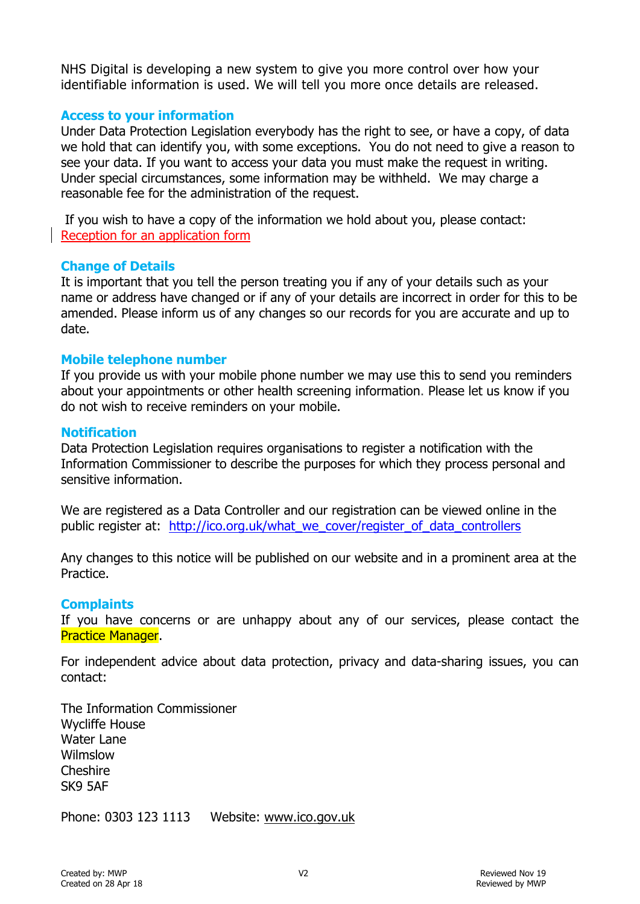NHS Digital is developing a new system to give you more control over how your identifiable information is used. We will tell you more once details are released.

### **Access to your information**

Under Data Protection Legislation everybody has the right to see, or have a copy, of data we hold that can identify you, with some exceptions. You do not need to give a reason to see your data. If you want to access your data you must make the request in writing. Under special circumstances, some information may be withheld. We may charge a reasonable fee for the administration of the request.

If you wish to have a copy of the information we hold about you, please contact: Reception for an application form

### **Change of Details**

It is important that you tell the person treating you if any of your details such as your name or address have changed or if any of your details are incorrect in order for this to be amended. Please inform us of any changes so our records for you are accurate and up to date.

#### **Mobile telephone number**

If you provide us with your mobile phone number we may use this to send you reminders about your appointments or other health screening information. Please let us know if you do not wish to receive reminders on your mobile.

#### **Notification**

Data Protection Legislation requires organisations to register a notification with the Information Commissioner to describe the purposes for which they process personal and sensitive information.

We are registered as a Data Controller and our registration can be viewed online in the public register at: [http://ico.org.uk/what\\_we\\_cover/register\\_of\\_data\\_controllers](http://ico.org.uk/what_we_cover/register_of_data_controllers)

Any changes to this notice will be published on our website and in a prominent area at the **Practice** 

### **Complaints**

If you have concerns or are unhappy about any of our services, please contact the Practice Manager.

For independent advice about data protection, privacy and data-sharing issues, you can contact:

The Information Commissioner Wycliffe House Water Lane Wilmslow Cheshire SK9 5AF

Phone: 0303 123 1113 Website: [www.ico.gov.uk](http://www.ico.gov.uk/)